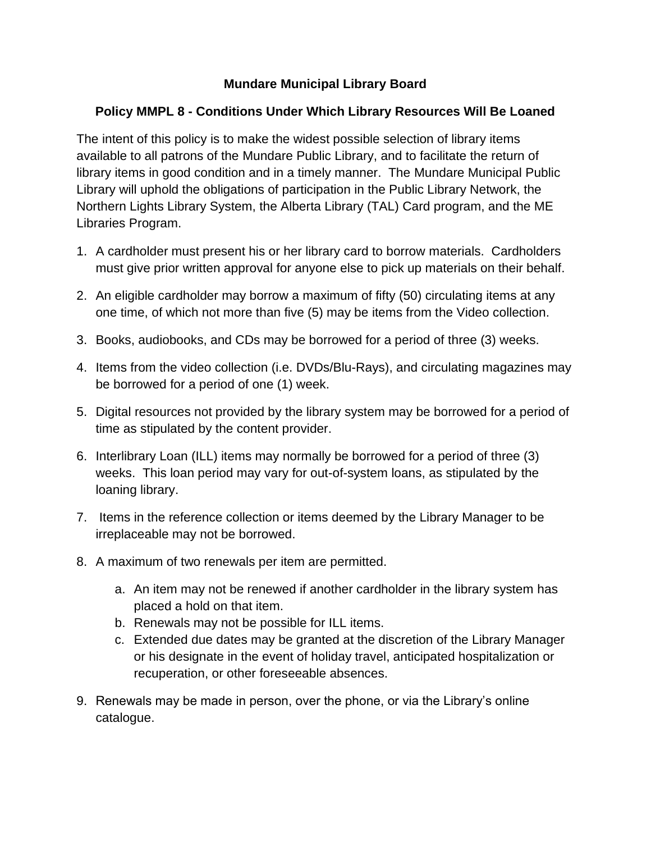## **Mundare Municipal Library Board**

## **Policy MMPL 8 - Conditions Under Which Library Resources Will Be Loaned**

The intent of this policy is to make the widest possible selection of library items available to all patrons of the Mundare Public Library, and to facilitate the return of library items in good condition and in a timely manner. The Mundare Municipal Public Library will uphold the obligations of participation in the Public Library Network, the Northern Lights Library System, the Alberta Library (TAL) Card program, and the ME Libraries Program.

- 1. A cardholder must present his or her library card to borrow materials. Cardholders must give prior written approval for anyone else to pick up materials on their behalf.
- 2. An eligible cardholder may borrow a maximum of fifty (50) circulating items at any one time, of which not more than five (5) may be items from the Video collection.
- 3. Books, audiobooks, and CDs may be borrowed for a period of three (3) weeks.
- 4. Items from the video collection (i.e. DVDs/Blu-Rays), and circulating magazines may be borrowed for a period of one (1) week.
- 5. Digital resources not provided by the library system may be borrowed for a period of time as stipulated by the content provider.
- 6. Interlibrary Loan (ILL) items may normally be borrowed for a period of three (3) weeks. This loan period may vary for out-of-system loans, as stipulated by the loaning library.
- 7. Items in the reference collection or items deemed by the Library Manager to be irreplaceable may not be borrowed.
- 8. A maximum of two renewals per item are permitted.
	- a. An item may not be renewed if another cardholder in the library system has placed a hold on that item.
	- b. Renewals may not be possible for ILL items.
	- c. Extended due dates may be granted at the discretion of the Library Manager or his designate in the event of holiday travel, anticipated hospitalization or recuperation, or other foreseeable absences.
- 9. Renewals may be made in person, over the phone, or via the Library's online catalogue.